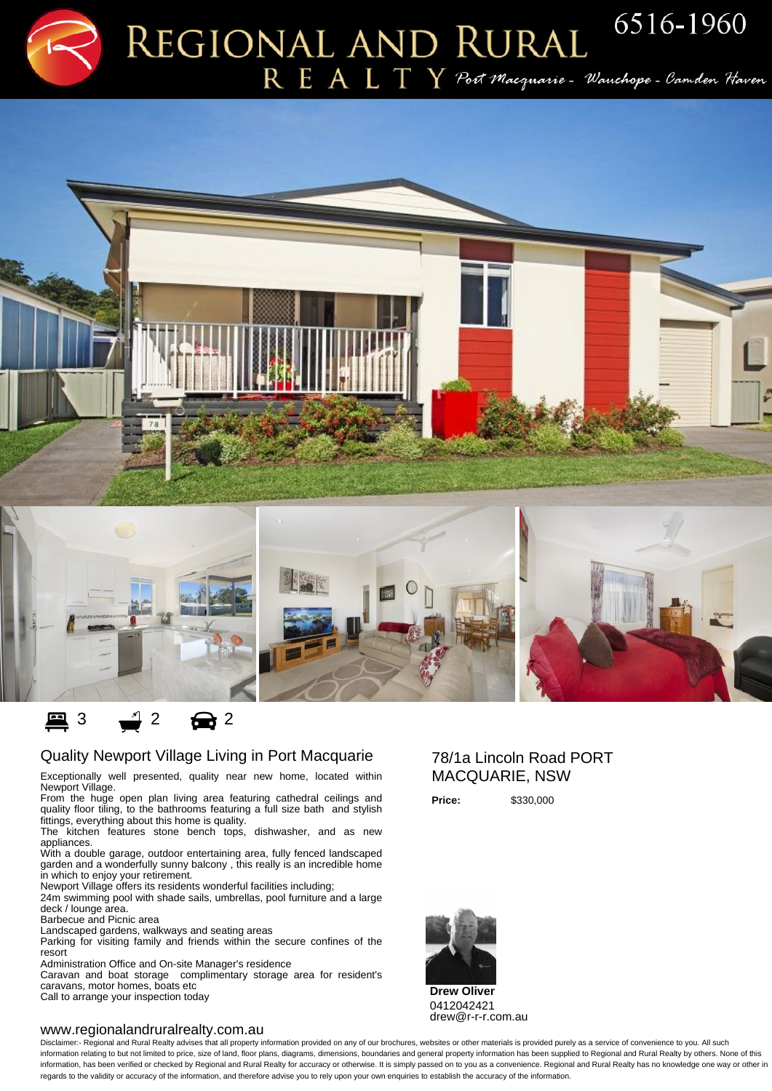# $R$   $E$   $A$   $L$   $T$   $Y$   $\mathcal P$ oct Macquarie – Wanchope – Camden Haven





## ■ 3 ● 2 ● 2

#### Quality Newport Village Living in Port Macquarie

Exceptionally well presented, quality near new home, located within Newport Village.

From the huge open plan living area featuring cathedral ceilings and quality floor tiling, to the bathrooms featuring a full size bath and stylish fittings, everything about this home is quality.

The kitchen features stone bench tops, dishwasher, and as new appliances.

With a double garage, outdoor entertaining area, fully fenced landscaped garden and a wonderfully sunny balcony , this really is an incredible home in which to enjoy your retirement.

Newport Village offers its residents wonderful facilities including;

24m swimming pool with shade sails, umbrellas, pool furniture and a large deck / lounge area.

Barbecue and Picnic area

Landscaped gardens, walkways and seating areas

Parking for visiting family and friends within the secure confines of the resort

Administration Office and On-site Manager's residence

Caravan and boat storage complimentary storage area for resident's caravans, motor homes, boats etc

Call to arrange your inspection today

#### www.regionalandruralrealty.com.au

### 78/1a Lincoln Road PORT MACQUARIE, NSW

**Price:** \$330,000



**Drew Oliver** 0412042421 drew@r-r-r.com.au

Disclaimer:- Regional and Rural Realty advises that all property information provided on any of our brochures, websites or other materials is provided purely as a service of convenience to you. All such information relating to but not limited to price, size of land, floor plans, diagrams, dimensions, boundaries and general property information has been supplied to Regional and Rural Realty by others. None of this information, has been verified or checked by Regional and Rural Realty for accuracy or otherwise. It is simply passed on to you as a convenience. Regional and Rural Realty has no knowledge one way or other in regards to the validity or accuracy of the information, and therefore advise you to rely upon your own enquiries to establish the accuracy of the information.